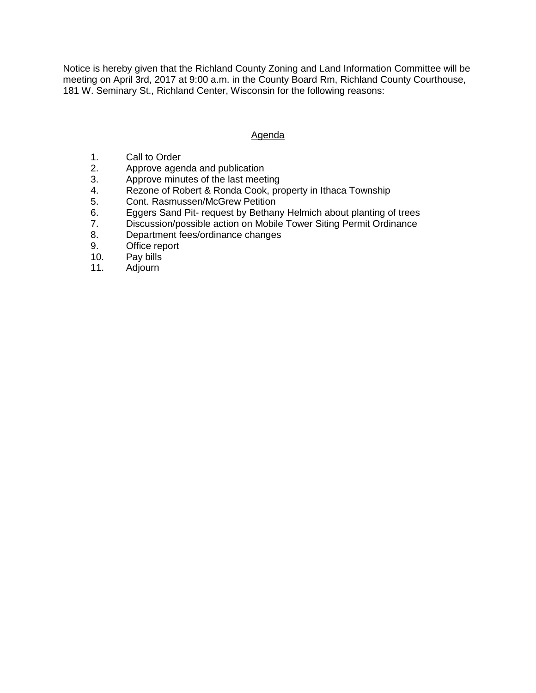Notice is hereby given that the Richland County Zoning and Land Information Committee will be meeting on April 3rd, 2017 at 9:00 a.m. in the County Board Rm, Richland County Courthouse, 181 W. Seminary St., Richland Center, Wisconsin for the following reasons:

## Agenda

- 1. Call to Order
- 2. Approve agenda and publication<br>3. Approve minutes of the last meet
- Approve minutes of the last meeting
- 4. Rezone of Robert & Ronda Cook, property in Ithaca Township
- 5. Cont. Rasmussen/McGrew Petition
- 6. Eggers Sand Pit- request by Bethany Helmich about planting of trees
- 7. Discussion/possible action on Mobile Tower Siting Permit Ordinance
- 8. Department fees/ordinance changes
- 9. Office report
- 10. Pay bills
- 11. Adjourn